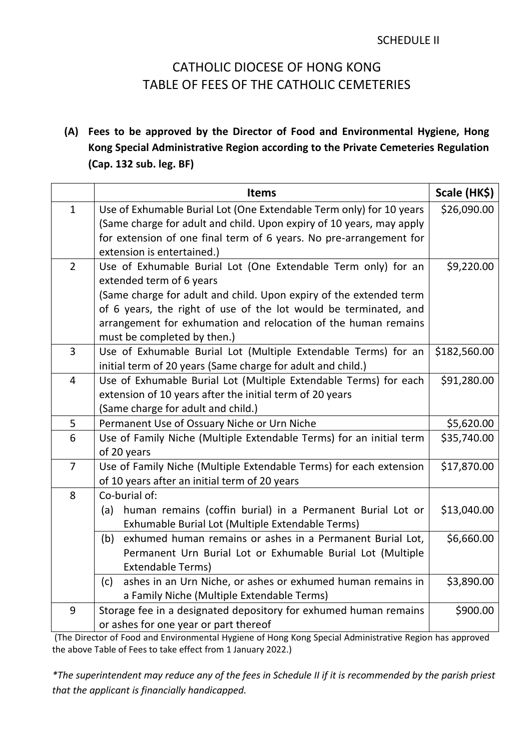## SCHEDULE II

## CATHOLIC DIOCESE OF HONG KONG TABLE OF FEES OF THE CATHOLIC CEMETERIES

**(A) Fees to be approved by the Director of Food and Environmental Hygiene, Hong Kong Special Administrative Region according to the Private Cemeteries Regulation (Cap. 132 sub. leg. BF)**

|                         | <b>Items</b>                                                                                                                  | Scale (HK\$) |
|-------------------------|-------------------------------------------------------------------------------------------------------------------------------|--------------|
| $\mathbf{1}$            | Use of Exhumable Burial Lot (One Extendable Term only) for 10 years                                                           | \$26,090.00  |
|                         | (Same charge for adult and child. Upon expiry of 10 years, may apply                                                          |              |
|                         | for extension of one final term of 6 years. No pre-arrangement for                                                            |              |
|                         | extension is entertained.)                                                                                                    |              |
| $\overline{2}$          | Use of Exhumable Burial Lot (One Extendable Term only) for an                                                                 | \$9,220.00   |
|                         | extended term of 6 years                                                                                                      |              |
|                         | (Same charge for adult and child. Upon expiry of the extended term                                                            |              |
|                         | of 6 years, the right of use of the lot would be terminated, and                                                              |              |
|                         | arrangement for exhumation and relocation of the human remains                                                                |              |
|                         | must be completed by then.)                                                                                                   |              |
| 3                       | Use of Exhumable Burial Lot (Multiple Extendable Terms) for an<br>initial term of 20 years (Same charge for adult and child.) | \$182,560.00 |
| $\overline{\mathbf{4}}$ | Use of Exhumable Burial Lot (Multiple Extendable Terms) for each                                                              | \$91,280.00  |
|                         | extension of 10 years after the initial term of 20 years                                                                      |              |
|                         | (Same charge for adult and child.)                                                                                            |              |
| 5                       | Permanent Use of Ossuary Niche or Urn Niche                                                                                   | \$5,620.00   |
| 6                       | Use of Family Niche (Multiple Extendable Terms) for an initial term                                                           | \$35,740.00  |
|                         | of 20 years                                                                                                                   |              |
| $\overline{7}$          | Use of Family Niche (Multiple Extendable Terms) for each extension                                                            | \$17,870.00  |
|                         | of 10 years after an initial term of 20 years                                                                                 |              |
| 8                       | Co-burial of:                                                                                                                 |              |
|                         | human remains (coffin burial) in a Permanent Burial Lot or<br>(a)                                                             | \$13,040.00  |
|                         | Exhumable Burial Lot (Multiple Extendable Terms)                                                                              |              |
|                         | exhumed human remains or ashes in a Permanent Burial Lot,<br>(b)                                                              | \$6,660.00   |
|                         | Permanent Urn Burial Lot or Exhumable Burial Lot (Multiple                                                                    |              |
|                         | <b>Extendable Terms)</b>                                                                                                      |              |
|                         | ashes in an Urn Niche, or ashes or exhumed human remains in<br>(c)                                                            | \$3,890.00   |
|                         | a Family Niche (Multiple Extendable Terms)                                                                                    |              |
| 9                       | Storage fee in a designated depository for exhumed human remains                                                              | \$900.00     |
|                         | or ashes for one year or part thereof                                                                                         |              |

(The Director of Food and Environmental Hygiene of Hong Kong Special Administrative Region has approved the above Table of Fees to take effect from 1 January 2022.)

*\*The superintendent may reduce any of the fees in Schedule II if it is recommended by the parish priest that the applicant is financially handicapped.*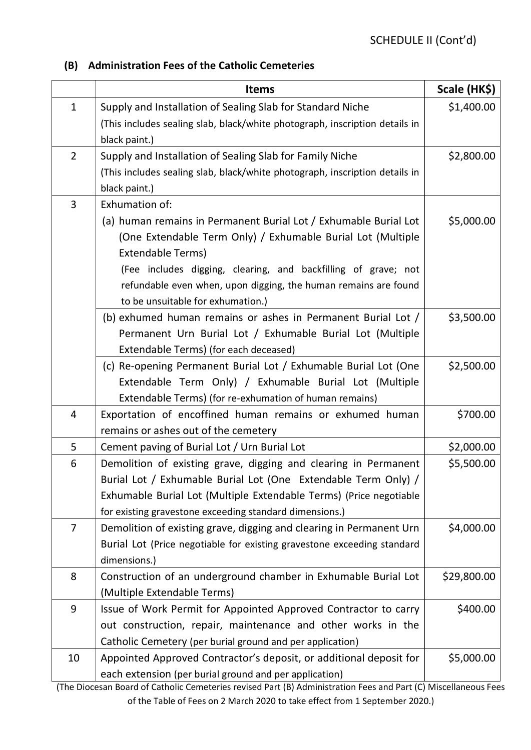## **(B) Administration Fees of the Catholic Cemeteries**

|                | <b>Items</b>                                                                | Scale (HK\$) |
|----------------|-----------------------------------------------------------------------------|--------------|
| $\mathbf{1}$   | Supply and Installation of Sealing Slab for Standard Niche                  | \$1,400.00   |
|                | (This includes sealing slab, black/white photograph, inscription details in |              |
|                | black paint.)                                                               |              |
| $\overline{2}$ | Supply and Installation of Sealing Slab for Family Niche                    | \$2,800.00   |
|                | (This includes sealing slab, black/white photograph, inscription details in |              |
|                | black paint.)                                                               |              |
| 3              | Exhumation of:                                                              |              |
|                | (a) human remains in Permanent Burial Lot / Exhumable Burial Lot            | \$5,000.00   |
|                | (One Extendable Term Only) / Exhumable Burial Lot (Multiple                 |              |
|                | <b>Extendable Terms)</b>                                                    |              |
|                | (Fee includes digging, clearing, and backfilling of grave; not              |              |
|                | refundable even when, upon digging, the human remains are found             |              |
|                | to be unsuitable for exhumation.)                                           |              |
|                | (b) exhumed human remains or ashes in Permanent Burial Lot /                | \$3,500.00   |
|                | Permanent Urn Burial Lot / Exhumable Burial Lot (Multiple                   |              |
|                | Extendable Terms) (for each deceased)                                       |              |
|                | (c) Re-opening Permanent Burial Lot / Exhumable Burial Lot (One             | \$2,500.00   |
|                | Extendable Term Only) / Exhumable Burial Lot (Multiple                      |              |
|                | Extendable Terms) (for re-exhumation of human remains)                      |              |
| 4              | Exportation of encoffined human remains or exhumed human                    | \$700.00     |
|                | remains or ashes out of the cemetery                                        |              |
| 5              | Cement paving of Burial Lot / Urn Burial Lot                                | \$2,000.00   |
| 6              | Demolition of existing grave, digging and clearing in Permanent             | \$5,500.00   |
|                | Burial Lot / Exhumable Burial Lot (One Extendable Term Only) /              |              |
|                | Exhumable Burial Lot (Multiple Extendable Terms) (Price negotiable          |              |
|                | for existing gravestone exceeding standard dimensions.)                     |              |
| $\overline{7}$ | Demolition of existing grave, digging and clearing in Permanent Urn         | \$4,000.00   |
|                | Burial Lot (Price negotiable for existing gravestone exceeding standard     |              |
|                | dimensions.)                                                                |              |
| 8              | Construction of an underground chamber in Exhumable Burial Lot              | \$29,800.00  |
|                | (Multiple Extendable Terms)                                                 |              |
| 9              | Issue of Work Permit for Appointed Approved Contractor to carry             | \$400.00     |
|                | out construction, repair, maintenance and other works in the                |              |
|                | Catholic Cemetery (per burial ground and per application)                   |              |
| 10             | Appointed Approved Contractor's deposit, or additional deposit for          | \$5,000.00   |
|                | each extension (per burial ground and per application)                      |              |

(The Diocesan Board of Catholic Cemeteries revised Part (B) Administration Fees and Part (C) Miscellaneous Fees of the Table of Fees on 2 March 2020 to take effect from 1 September 2020.)